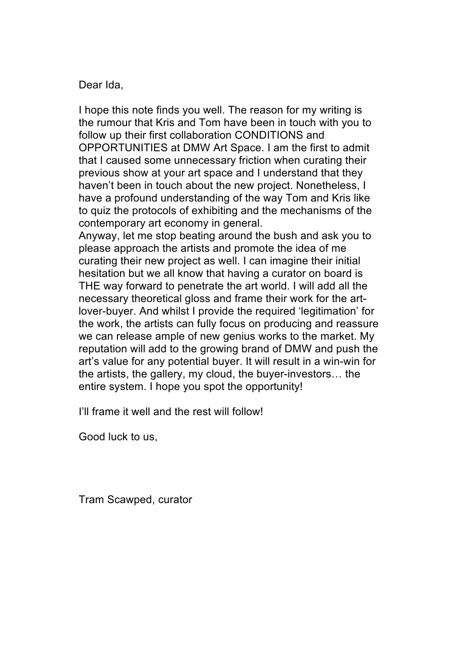I hope this note finds you well. The reason for my writing is the rumour that Kris and Tom have been in touch with you to follow up their first collaboration CONDITIONS and OPPORTUNITIES at DMW Art Space. I am the first to admit that I caused some unnecessary friction when curating their previous show at your art space and I understand that they haven't been in touch about the new project. Nonetheless, I have a profound understanding of the way Tom and Kris like to quiz the protocols of exhibiting and the mechanisms of the contemporary art economy in general.

Anyway, let me stop beating around the bush and ask you to please approach the artists and promote the idea of me curating their new project as well. I can imagine their initial hesitation but we all know that having a curator on board is THE way forward to penetrate the art world. I will add all the necessary theoretical gloss and frame their work for the artlover-buyer. And whilst I provide the required 'legitimation' for the work, the artists can fully focus on producing and reassure we can release ample of new genius works to the market. My reputation will add to the growing brand of DMW and push the art's value for any potential buyer. It will result in a win-win for the artists, the gallery, my cloud, the buyer-investors… the entire system. I hope you spot the opportunity!

I'll frame it well and the rest will follow!

Good luck to us,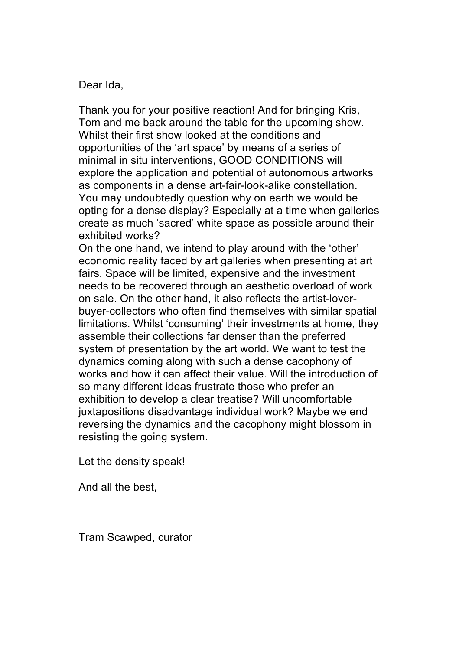Thank you for your positive reaction! And for bringing Kris, Tom and me back around the table for the upcoming show. Whilst their first show looked at the conditions and opportunities of the 'art space' by means of a series of minimal in situ interventions, GOOD CONDITIONS will explore the application and potential of autonomous artworks as components in a dense art-fair-look-alike constellation. You may undoubtedly question why on earth we would be opting for a dense display? Especially at a time when galleries create as much 'sacred' white space as possible around their exhibited works?

On the one hand, we intend to play around with the 'other' economic reality faced by art galleries when presenting at art fairs. Space will be limited, expensive and the investment needs to be recovered through an aesthetic overload of work on sale. On the other hand, it also reflects the artist-loverbuyer-collectors who often find themselves with similar spatial limitations. Whilst 'consuming' their investments at home, they assemble their collections far denser than the preferred system of presentation by the art world. We want to test the dynamics coming along with such a dense cacophony of works and how it can affect their value. Will the introduction of so many different ideas frustrate those who prefer an exhibition to develop a clear treatise? Will uncomfortable juxtapositions disadvantage individual work? Maybe we end reversing the dynamics and the cacophony might blossom in resisting the going system.

Let the density speak!

And all the best,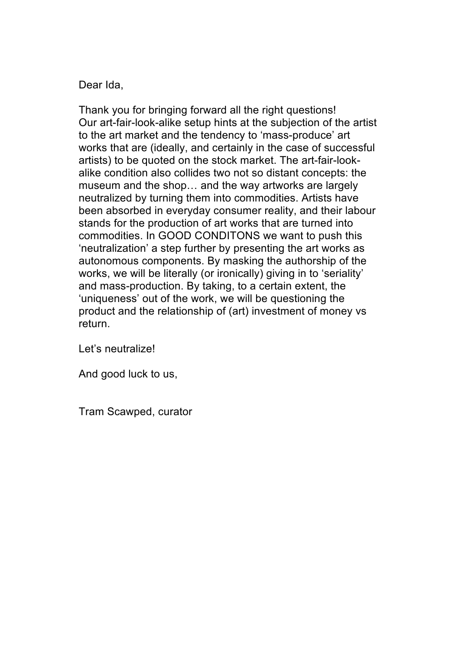Thank you for bringing forward all the right questions! Our art-fair-look-alike setup hints at the subjection of the artist to the art market and the tendency to 'mass-produce' art works that are (ideally, and certainly in the case of successful artists) to be quoted on the stock market. The art-fair-lookalike condition also collides two not so distant concepts: the museum and the shop… and the way artworks are largely neutralized by turning them into commodities. Artists have been absorbed in everyday consumer reality, and their labour stands for the production of art works that are turned into commodities. In GOOD CONDITONS we want to push this 'neutralization' a step further by presenting the art works as autonomous components. By masking the authorship of the works, we will be literally (or ironically) giving in to 'seriality' and mass-production. By taking, to a certain extent, the 'uniqueness' out of the work, we will be questioning the product and the relationship of (art) investment of money vs return.

Let's neutralize!

And good luck to us,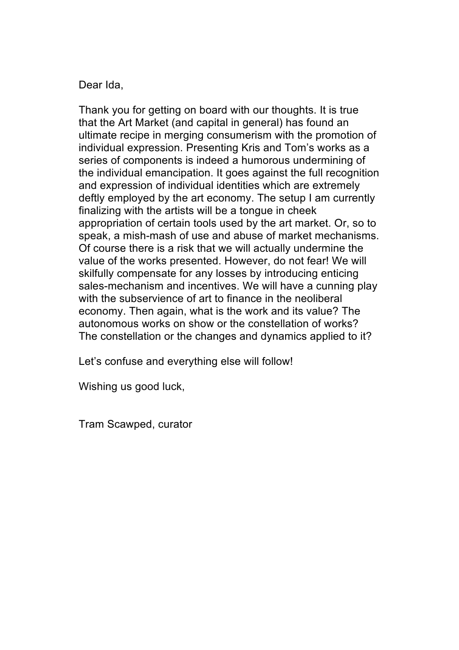Thank you for getting on board with our thoughts. It is true that the Art Market (and capital in general) has found an ultimate recipe in merging consumerism with the promotion of individual expression. Presenting Kris and Tom's works as a series of components is indeed a humorous undermining of the individual emancipation. It goes against the full recognition and expression of individual identities which are extremely deftly employed by the art economy. The setup I am currently finalizing with the artists will be a tongue in cheek appropriation of certain tools used by the art market. Or, so to speak, a mish-mash of use and abuse of market mechanisms. Of course there is a risk that we will actually undermine the value of the works presented. However, do not fear! We will skilfully compensate for any losses by introducing enticing sales-mechanism and incentives. We will have a cunning play with the subservience of art to finance in the neoliberal economy. Then again, what is the work and its value? The autonomous works on show or the constellation of works? The constellation or the changes and dynamics applied to it?

Let's confuse and everything else will follow!

Wishing us good luck,